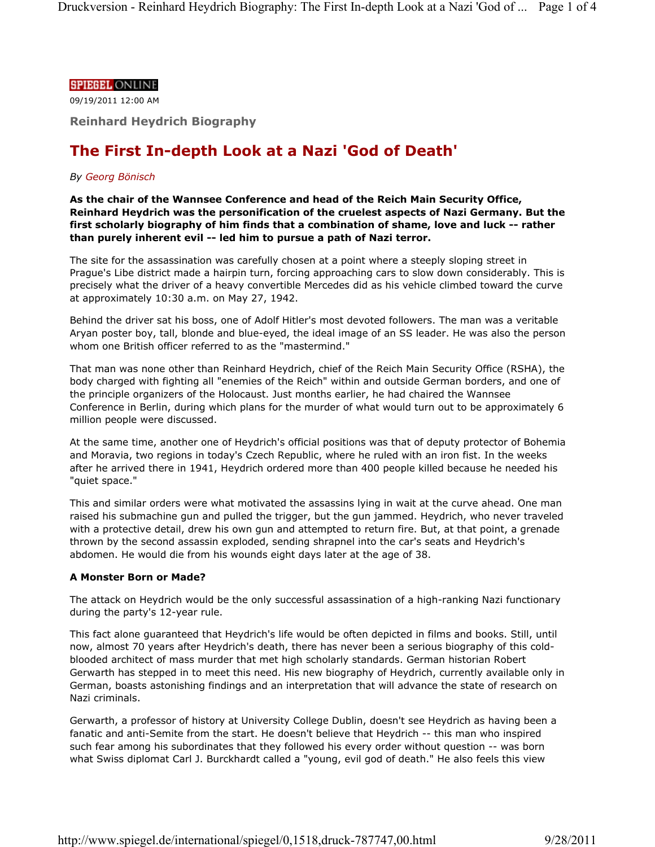#### **SPIEGEL ONLINE**

09/19/2011 12:00 AM

**Reinhard Heydrich Biography**

# **The First In-depth Look at a Nazi 'God of Death'**

## *By Georg Bönisch*

**As the chair of the Wannsee Conference and head of the Reich Main Security Office, Reinhard Heydrich was the personification of the cruelest aspects of Nazi Germany. But the first scholarly biography of him finds that a combination of shame, love and luck -- rather than purely inherent evil -- led him to pursue a path of Nazi terror.**

The site for the assassination was carefully chosen at a point where a steeply sloping street in Prague's Libe district made a hairpin turn, forcing approaching cars to slow down considerably. This is precisely what the driver of a heavy convertible Mercedes did as his vehicle climbed toward the curve at approximately 10:30 a.m. on May 27, 1942.

Behind the driver sat his boss, one of Adolf Hitler's most devoted followers. The man was a veritable Aryan poster boy, tall, blonde and blue-eyed, the ideal image of an SS leader. He was also the person whom one British officer referred to as the "mastermind."

That man was none other than Reinhard Heydrich, chief of the Reich Main Security Office (RSHA), the body charged with fighting all "enemies of the Reich" within and outside German borders, and one of the principle organizers of the Holocaust. Just months earlier, he had chaired the Wannsee Conference in Berlin, during which plans for the murder of what would turn out to be approximately 6 million people were discussed.

At the same time, another one of Heydrich's official positions was that of deputy protector of Bohemia and Moravia, two regions in today's Czech Republic, where he ruled with an iron fist. In the weeks after he arrived there in 1941, Heydrich ordered more than 400 people killed because he needed his "quiet space."

This and similar orders were what motivated the assassins lying in wait at the curve ahead. One man raised his submachine gun and pulled the trigger, but the gun jammed. Heydrich, who never traveled with a protective detail, drew his own gun and attempted to return fire. But, at that point, a grenade thrown by the second assassin exploded, sending shrapnel into the car's seats and Heydrich's abdomen. He would die from his wounds eight days later at the age of 38.

## **A Monster Born or Made?**

The attack on Heydrich would be the only successful assassination of a high-ranking Nazi functionary during the party's 12-year rule.

This fact alone guaranteed that Heydrich's life would be often depicted in films and books. Still, until now, almost 70 years after Heydrich's death, there has never been a serious biography of this coldblooded architect of mass murder that met high scholarly standards. German historian Robert Gerwarth has stepped in to meet this need. His new biography of Heydrich, currently available only in German, boasts astonishing findings and an interpretation that will advance the state of research on Nazi criminals.

Gerwarth, a professor of history at University College Dublin, doesn't see Heydrich as having been a fanatic and anti-Semite from the start. He doesn't believe that Heydrich -- this man who inspired such fear among his subordinates that they followed his every order without question -- was born what Swiss diplomat Carl J. Burckhardt called a "young, evil god of death." He also feels this view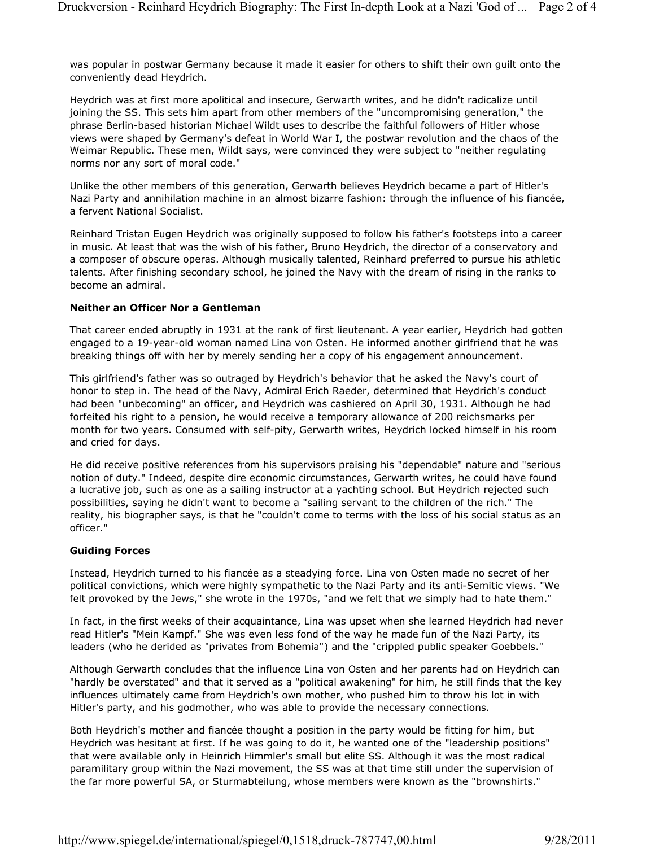was popular in postwar Germany because it made it easier for others to shift their own guilt onto the conveniently dead Heydrich.

Heydrich was at first more apolitical and insecure, Gerwarth writes, and he didn't radicalize until joining the SS. This sets him apart from other members of the "uncompromising generation," the phrase Berlin-based historian Michael Wildt uses to describe the faithful followers of Hitler whose views were shaped by Germany's defeat in World War I, the postwar revolution and the chaos of the Weimar Republic. These men, Wildt says, were convinced they were subject to "neither regulating norms nor any sort of moral code."

Unlike the other members of this generation, Gerwarth believes Heydrich became a part of Hitler's Nazi Party and annihilation machine in an almost bizarre fashion: through the influence of his fiancée, a fervent National Socialist.

Reinhard Tristan Eugen Heydrich was originally supposed to follow his father's footsteps into a career in music. At least that was the wish of his father, Bruno Heydrich, the director of a conservatory and a composer of obscure operas. Although musically talented, Reinhard preferred to pursue his athletic talents. After finishing secondary school, he joined the Navy with the dream of rising in the ranks to become an admiral.

#### **Neither an Officer Nor a Gentleman**

That career ended abruptly in 1931 at the rank of first lieutenant. A year earlier, Heydrich had gotten engaged to a 19-year-old woman named Lina von Osten. He informed another girlfriend that he was breaking things off with her by merely sending her a copy of his engagement announcement.

This girlfriend's father was so outraged by Heydrich's behavior that he asked the Navy's court of honor to step in. The head of the Navy, Admiral Erich Raeder, determined that Heydrich's conduct had been "unbecoming" an officer, and Heydrich was cashiered on April 30, 1931. Although he had forfeited his right to a pension, he would receive a temporary allowance of 200 reichsmarks per month for two years. Consumed with self-pity, Gerwarth writes, Heydrich locked himself in his room and cried for days.

He did receive positive references from his supervisors praising his "dependable" nature and "serious notion of duty." Indeed, despite dire economic circumstances, Gerwarth writes, he could have found a lucrative job, such as one as a sailing instructor at a yachting school. But Heydrich rejected such possibilities, saying he didn't want to become a "sailing servant to the children of the rich." The reality, his biographer says, is that he "couldn't come to terms with the loss of his social status as an officer."

#### **Guiding Forces**

Instead, Heydrich turned to his fiancée as a steadying force. Lina von Osten made no secret of her political convictions, which were highly sympathetic to the Nazi Party and its anti-Semitic views. "We felt provoked by the Jews," she wrote in the 1970s, "and we felt that we simply had to hate them."

In fact, in the first weeks of their acquaintance, Lina was upset when she learned Heydrich had never read Hitler's "Mein Kampf." She was even less fond of the way he made fun of the Nazi Party, its leaders (who he derided as "privates from Bohemia") and the "crippled public speaker Goebbels."

Although Gerwarth concludes that the influence Lina von Osten and her parents had on Heydrich can "hardly be overstated" and that it served as a "political awakening" for him, he still finds that the key influences ultimately came from Heydrich's own mother, who pushed him to throw his lot in with Hitler's party, and his godmother, who was able to provide the necessary connections.

Both Heydrich's mother and fiancée thought a position in the party would be fitting for him, but Heydrich was hesitant at first. If he was going to do it, he wanted one of the "leadership positions" that were available only in Heinrich Himmler's small but elite SS. Although it was the most radical paramilitary group within the Nazi movement, the SS was at that time still under the supervision of the far more powerful SA, or Sturmabteilung, whose members were known as the "brownshirts."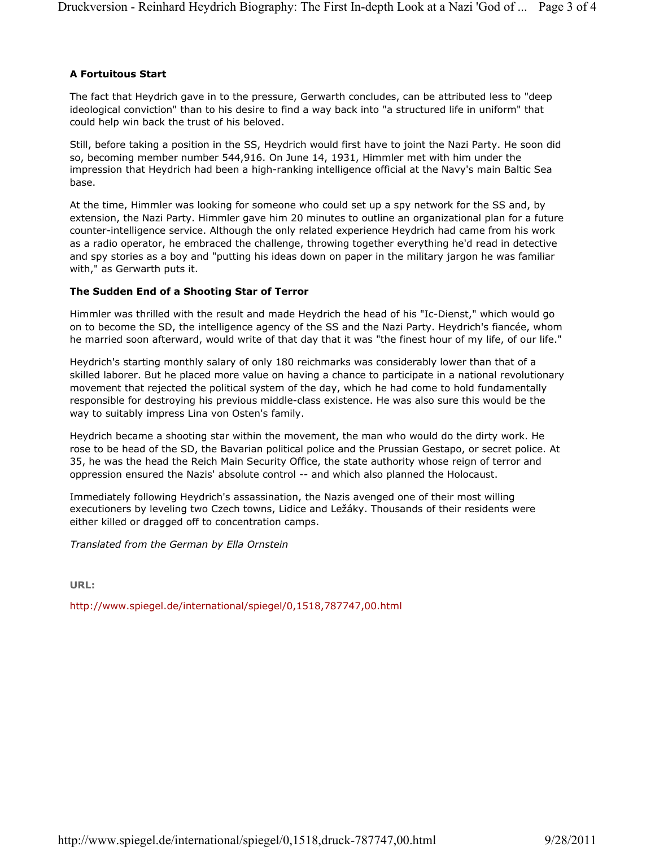# **A Fortuitous Start**

The fact that Heydrich gave in to the pressure, Gerwarth concludes, can be attributed less to "deep ideological conviction" than to his desire to find a way back into "a structured life in uniform" that could help win back the trust of his beloved.

Still, before taking a position in the SS, Heydrich would first have to joint the Nazi Party. He soon did so, becoming member number 544,916. On June 14, 1931, Himmler met with him under the impression that Heydrich had been a high-ranking intelligence official at the Navy's main Baltic Sea base.

At the time, Himmler was looking for someone who could set up a spy network for the SS and, by extension, the Nazi Party. Himmler gave him 20 minutes to outline an organizational plan for a future counter-intelligence service. Although the only related experience Heydrich had came from his work as a radio operator, he embraced the challenge, throwing together everything he'd read in detective and spy stories as a boy and "putting his ideas down on paper in the military jargon he was familiar with," as Gerwarth puts it.

# **The Sudden End of a Shooting Star of Terror**

Himmler was thrilled with the result and made Heydrich the head of his "Ic-Dienst," which would go on to become the SD, the intelligence agency of the SS and the Nazi Party. Heydrich's fiancée, whom he married soon afterward, would write of that day that it was "the finest hour of my life, of our life."

Heydrich's starting monthly salary of only 180 reichmarks was considerably lower than that of a skilled laborer. But he placed more value on having a chance to participate in a national revolutionary movement that rejected the political system of the day, which he had come to hold fundamentally responsible for destroying his previous middle-class existence. He was also sure this would be the way to suitably impress Lina von Osten's family.

Heydrich became a shooting star within the movement, the man who would do the dirty work. He rose to be head of the SD, the Bavarian political police and the Prussian Gestapo, or secret police. At 35, he was the head the Reich Main Security Office, the state authority whose reign of terror and oppression ensured the Nazis' absolute control -- and which also planned the Holocaust.

Immediately following Heydrich's assassination, the Nazis avenged one of their most willing executioners by leveling two Czech towns, Lidice and Ležáky. Thousands of their residents were either killed or dragged off to concentration camps.

*Translated from the German by Ella Ornstein*

**URL:**

http://www.spiegel.de/international/spiegel/0,1518,787747,00.html